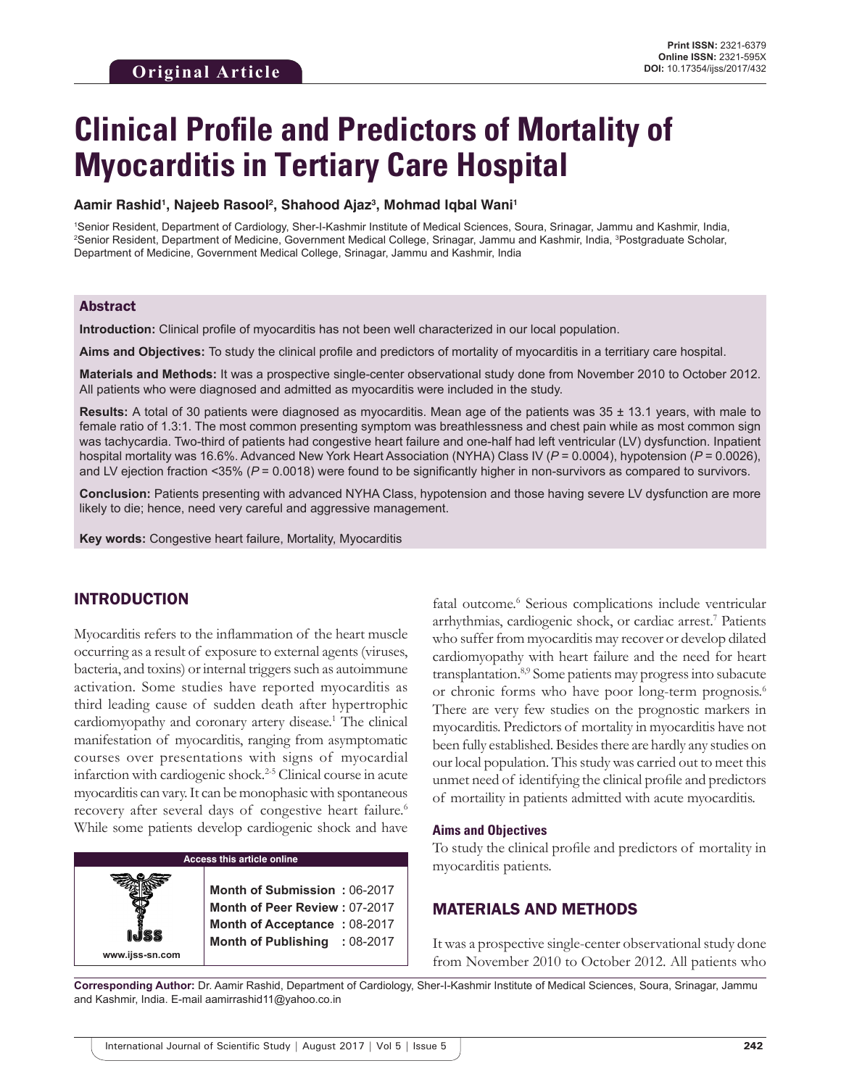# **Clinical Profile and Predictors of Mortality of Myocarditis in Tertiary Care Hospital**

#### Aamir Rashid<sup>ı</sup>, Najeeb Rasool<sup>2</sup>, Shahood Ajaz<sup>3</sup>, Mohmad Iqbal Wani<sup>ı</sup>

1 Senior Resident, Department of Cardiology, Sher-I-Kashmir Institute of Medical Sciences, Soura, Srinagar, Jammu and Kashmir, India, 2 Senior Resident, Department of Medicine, Government Medical College, Srinagar, Jammu and Kashmir, India, 3 Postgraduate Scholar, Department of Medicine, Government Medical College, Srinagar, Jammu and Kashmir, India

### Abstract

**Introduction:** Clinical profile of myocarditis has not been well characterized in our local population.

**Aims and Objectives:** To study the clinical profile and predictors of mortality of myocarditis in a territiary care hospital.

**Materials and Methods:** It was a prospective single-center observational study done from November 2010 to October 2012. All patients who were diagnosed and admitted as myocarditis were included in the study.

**Results:** A total of 30 patients were diagnosed as myocarditis. Mean age of the patients was 35 ± 13.1 years, with male to female ratio of 1.3:1. The most common presenting symptom was breathlessness and chest pain while as most common sign was tachycardia. Two-third of patients had congestive heart failure and one-half had left ventricular (LV) dysfunction. Inpatient hospital mortality was 16.6%. Advanced New York Heart Association (NYHA) Class IV (*P* = 0.0004), hypotension (*P* = 0.0026), and LV ejection fraction <35% ( $P = 0.0018$ ) were found to be significantly higher in non-survivors as compared to survivors.

**Conclusion:** Patients presenting with advanced NYHA Class, hypotension and those having severe LV dysfunction are more likely to die; hence, need very careful and aggressive management.

**Key words:** Congestive heart failure, Mortality, Myocarditis

# INTRODUCTION

**www.ijss-sn.com**

Myocarditis refers to the inflammation of the heart muscle occurring as a result of exposure to external agents (viruses, bacteria, and toxins) or internal triggers such as autoimmune activation. Some studies have reported myocarditis as third leading cause of sudden death after hypertrophic cardiomyopathy and coronary artery disease.<sup>1</sup> The clinical manifestation of myocarditis, ranging from asymptomatic courses over presentations with signs of myocardial infarction with cardiogenic shock.2-5 Clinical course in acute myocarditis can vary. It can be monophasic with spontaneous recovery after several days of congestive heart failure.<sup>6</sup> While some patients develop cardiogenic shock and have

## **Access this article online**

**Month of Submission :** 06-2017 **Month of Peer Review :** 07-2017 **Month of Acceptance :** 08-2017 **Month of Publishing :** 08-2017

fatal outcome.<sup>6</sup> Serious complications include ventricular arrhythmias, cardiogenic shock, or cardiac arrest.7 Patients who suffer from myocarditis may recover or develop dilated cardiomyopathy with heart failure and the need for heart transplantation.8,9 Some patients may progress into subacute or chronic forms who have poor long-term prognosis.<sup>6</sup> There are very few studies on the prognostic markers in myocarditis. Predictors of mortality in myocarditis have not been fully established. Besides there are hardly any studies on our local population. This study was carried out to meet this unmet need of identifying the clinical profile and predictors of mortaility in patients admitted with acute myocarditis.

#### **Aims and Objectives**

To study the clinical profile and predictors of mortality in myocarditis patients.

# MATERIALS AND METHODS

It was a prospective single-center observational study done from November 2010 to October 2012. All patients who

**Corresponding Author:** Dr. Aamir Rashid, Department of Cardiology, Sher-I-Kashmir Institute of Medical Sciences, Soura, Srinagar, Jammu and Kashmir, India. E-mail aamirrashid11@yahoo.co.in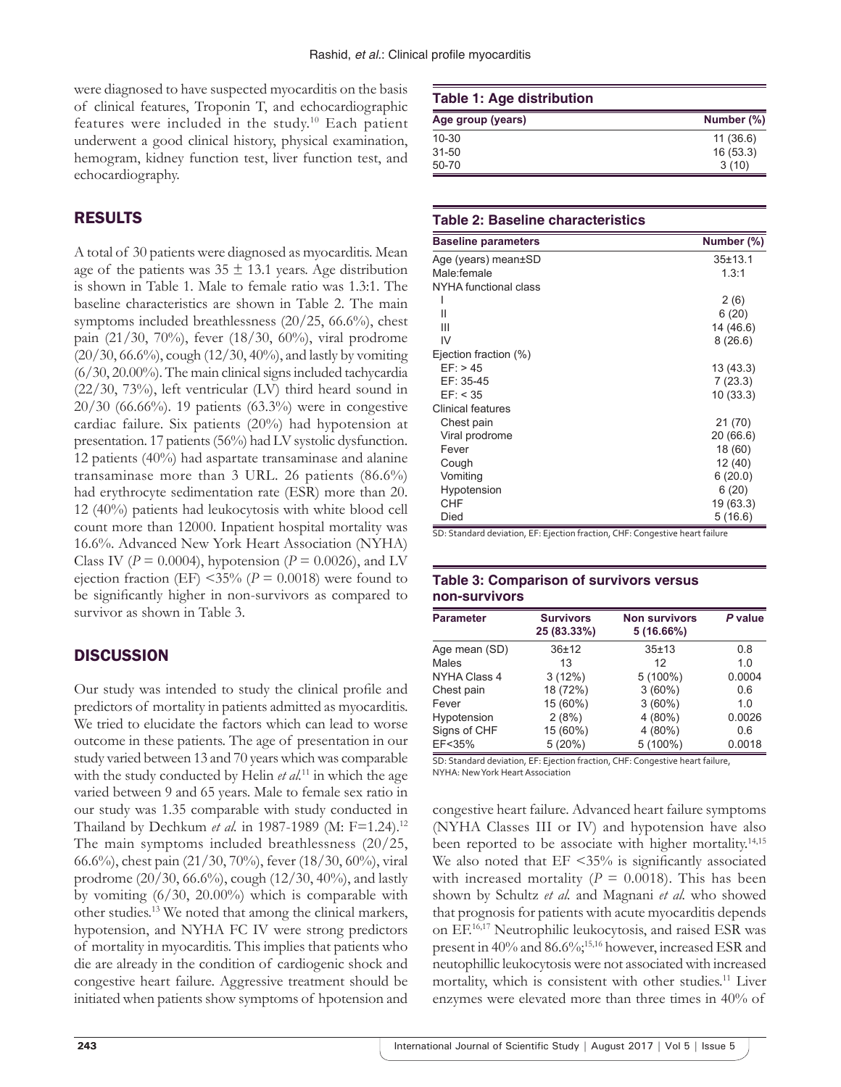were diagnosed to have suspected myocarditis on the basis of clinical features, Troponin T, and echocardiographic features were included in the study.<sup>10</sup> Each patient underwent a good clinical history, physical examination, hemogram, kidney function test, liver function test, and echocardiography.

# RESULTS

A total of 30 patients were diagnosed as myocarditis. Mean age of the patients was  $35 \pm 13.1$  years. Age distribution is shown in Table 1. Male to female ratio was 1.3:1. The baseline characteristics are shown in Table 2. The main symptoms included breathlessness (20/25, 66.6%), chest pain (21/30, 70%), fever (18/30, 60%), viral prodrome (20/30, 66.6%), cough (12/30, 40%), and lastly by vomiting (6/30, 20.00%). The main clinical signs included tachycardia  $(22/30, 73%)$ , left ventricular (LV) third heard sound in 20/30 (66.66%). 19 patients (63.3%) were in congestive cardiac failure. Six patients (20%) had hypotension at presentation. 17 patients (56%) had LV systolic dysfunction. 12 patients (40%) had aspartate transaminase and alanine transaminase more than 3 URL. 26 patients (86.6%) had erythrocyte sedimentation rate (ESR) more than 20. 12 (40%) patients had leukocytosis with white blood cell count more than 12000. Inpatient hospital mortality was 16.6%. Advanced New York Heart Association (NYHA) Class IV ( $P = 0.0004$ ), hypotension ( $P = 0.0026$ ), and LV ejection fraction (EF)  $\leq$ 35% (*P* = 0.0018) were found to be significantly higher in non-survivors as compared to survivor as shown in Table 3.

# **DISCUSSION**

Our study was intended to study the clinical profile and predictors of mortality in patients admitted as myocarditis. We tried to elucidate the factors which can lead to worse outcome in these patients. The age of presentation in our study varied between 13 and 70 years which was comparable with the study conducted by Helin *et al.*11 in which the age varied between 9 and 65 years. Male to female sex ratio in our study was 1.35 comparable with study conducted in Thailand by Dechkum et al. in 1987-1989 (M: F=1.24).<sup>12</sup> The main symptoms included breathlessness (20/25, 66.6%), chest pain (21/30, 70%), fever (18/30, 60%), viral prodrome (20/30, 66.6%), cough (12/30, 40%), and lastly by vomiting (6/30, 20.00%) which is comparable with other studies.13 We noted that among the clinical markers, hypotension, and NYHA FC IV were strong predictors of mortality in myocarditis. This implies that patients who die are already in the condition of cardiogenic shock and congestive heart failure. Aggressive treatment should be initiated when patients show symptoms of hpotension and

#### **Table 1: Age distribution**

| Age group (years) | Number (%) |
|-------------------|------------|
| $10 - 30$         | 11(36.6)   |
| $31 - 50$         | 16(53.3)   |
| 50-70             | 3(10)      |

#### **Table 2: Baseline characteristics**

| <b>Baseline parameters</b> | Number (%) |
|----------------------------|------------|
| Age (years) mean±SD        | 35±13.1    |
| Male:female                | 1.3:1      |
| NYHA functional class      |            |
|                            | 2(6)       |
| $\mathsf{II}$              | 6(20)      |
| Ш                          | 14 (46.6)  |
| IV                         | 8(26.6)    |
| Ejection fraction (%)      |            |
| EF: > 45                   | 13 (43.3)  |
| EF: 35-45                  | 7(23.3)    |
| EF: < 35                   | 10(33.3)   |
| Clinical features          |            |
| Chest pain                 | 21 (70)    |
| Viral prodrome             | 20 (66.6)  |
| Fever                      | 18 (60)    |
| Cough                      | 12 (40)    |
| Vomiting                   | 6(20.0)    |
| Hypotension                | 6(20)      |
| CHF                        | 19 (63.3)  |
| Died                       | 5(16.6)    |

SD: Standard deviation, EF: Ejection fraction, CHF: Congestive heart failure

## **Table 3: Comparison of survivors versus non‑survivors**

| <b>Parameter</b> | <b>Survivors</b><br>25 (83.33%) | <b>Non survivors</b><br>5(16.66%) | P value |
|------------------|---------------------------------|-----------------------------------|---------|
| Age mean (SD)    | $36 + 12$                       | $35 + 13$                         | 0.8     |
| Males            | 13                              | 12                                | 1.0     |
| NYHA Class 4     | 3(12%)                          | $5(100\%)$                        | 0.0004  |
| Chest pain       | 18 (72%)                        | 3(60%)                            | 0.6     |
| Fever            | 15 (60%)                        | 3(60%)                            | 1.0     |
| Hypotension      | 2(8%)                           | $4(80\%)$                         | 0.0026  |
| Signs of CHF     | 15 (60%)                        | $4(80\%)$                         | 0.6     |
| EF<35%           | 5(20%)                          | 5 (100%)                          | 0.0018  |

SD: Standard deviation, EF: Ejection fraction, CHF: Congestive heart failure, NYHA: NewYork Heart Association

congestive heart failure. Advanced heart failure symptoms (NYHA Classes III or IV) and hypotension have also been reported to be associate with higher mortality.<sup>14,15</sup> We also noted that  $EF \leq 35\%$  is significantly associated with increased mortality ( $P = 0.0018$ ). This has been shown by Schultz *et al.* and Magnani *et al.* who showed that prognosis for patients with acute myocarditis depends on EF.16,17 Neutrophilic leukocytosis, and raised ESR was present in 40% and 86.6%;<sup>15,16</sup> however, increased ESR and neutophillic leukocytosis were not associated with increased mortality, which is consistent with other studies.11 Liver enzymes were elevated more than three times in 40% of